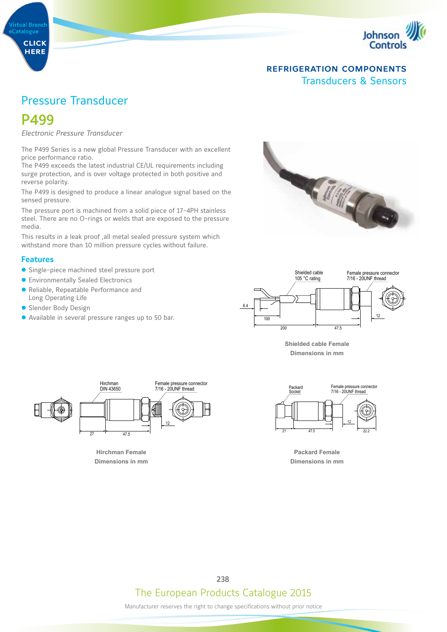

# Pressure Transducer

# P499

**Virtual Branch** 

**CLICK HERE** 

eCatalogue

*Electronic Pressure Transducer* 

The P499 Series is a new global Pressure Transducer with an excellent price performance ratio.

The P499 exceeds the latest industrial CE/UL requirements including surge protection, and is over voltage protected in both positive and reverse polarity.

The P499 is designed to produce a linear analogue signal based on the sensed pressure.

The pressure port is machined from a solid piece of 17-4PH stainless steel. There are no O-rings or welds that are exposed to the pressure media.

This results in a leak proof ,all metal sealed pressure system which withstand more than 10 million pressure cycles without failure.

#### **Features**

- Single-piece machined steel pressure port
- **Environmentally Sealed Electronics**
- Reliable, Repeatable Performance and Long Operating Life
- **Slender Body Design**
- Available in several pressure ranges up to 50 bar.





**Shielded cable Female Dimensions in mm** 



Hirchman Female **Dimensions in mm** 



Dimensions in mm **Packard Female**

The European Products Catalogue 2015 238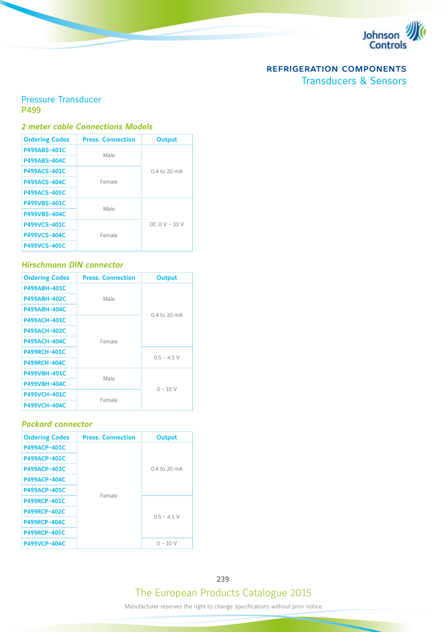

## Pressure Transducer P499

#### *2 meter cable Connections Models*

| <b>Ordering Codes</b> | <b>Press. Connection</b> | <b>Output</b> |
|-----------------------|--------------------------|---------------|
| <b>P499ABS-401C</b>   | Male                     |               |
| <b>P499ABS-404C</b>   |                          |               |
| <b>P499ACS-401C</b>   |                          | 04 to 20 mA   |
| <b>P499ACS-404C</b>   | Female                   |               |
| <b>P499ACS-405C</b>   |                          |               |
| <b>P499VBS-401C</b>   | Male                     |               |
| <b>P499VBS-404C</b>   |                          |               |
| <b>P499VCS-401C</b>   |                          | $DCOV - 10V$  |
| <b>P499VCS-404C</b>   | Female                   |               |
| <b>P499VCS-405C</b>   |                          |               |

#### *Hirschmann DIN connector*

| <b>Ordering Codes</b> | <b>Press. Connection</b> | <b>Output</b> |
|-----------------------|--------------------------|---------------|
| <b>P499ABH-401C</b>   |                          |               |
| <b>P499ABH-402C</b>   | Male                     |               |
| <b>P499ABH-404C</b>   |                          | 0.4 to 20 mA  |
| <b>P499ACH-401C</b>   |                          |               |
| <b>P499ACH-402C</b>   |                          |               |
| <b>P499ACH-404C</b>   | Female                   |               |
| <b>P499RCH-401C</b>   |                          | $0.5 - 4.5$ V |
| <b>P499RCH-404C</b>   |                          |               |
| P499VBH-401C          | Male                     |               |
| <b>P499VBH-404C</b>   |                          | $0 - 10V$     |
| <b>P499VCH-401C</b>   |                          |               |
| <b>P499VCH-404C</b>   | Female                   |               |

#### *Packard connector*

| <b>Ordering Codes</b> | <b>Press. Connection</b> | <b>Output</b> |
|-----------------------|--------------------------|---------------|
| <b>P499ACP-401C</b>   |                          |               |
| <b>P499ACP-402C</b>   |                          |               |
| <b>P499ACP-403C</b>   |                          | 0.4 to 20 mA  |
| <b>P499ACP-404C</b>   |                          |               |
| <b>P499ACP-405C</b>   | Female                   |               |
| <b>P499RCP-401C</b>   |                          |               |
| <b>P499RCP-402C</b>   |                          | $05 - 45V$    |
| <b>P499RCP-404C</b>   |                          |               |
| <b>P499RCP-405C</b>   |                          |               |
| <b>P499VCP-404C</b>   |                          | 0 - 10 V      |

The European Products Catalogue 2015 239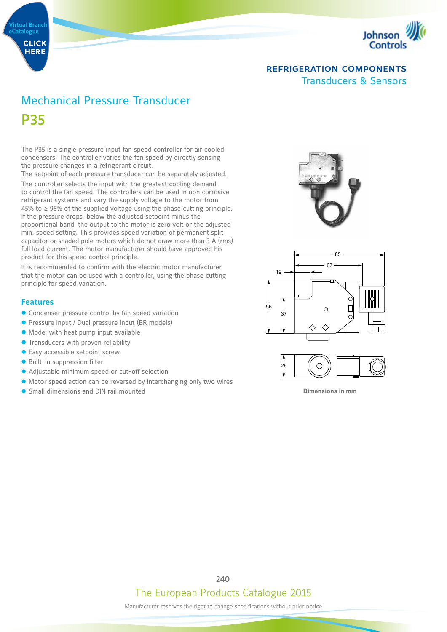



# Mechanical Pressure Transducer P35

The P35 is a single pressure input fan speed controller for air cooled condensers. The controller varies the fan speed by directly sensing the pressure changes in a refrigerant circuit.

The setpoint of each pressure transducer can be separately adjusted.

The controller selects the input with the greatest cooling demand to control the fan speed. The controllers can be used in non corrosive refrigerant systems and vary the supply voltage to the motor from 45% to ≥ 95% of the supplied voltage using the phase cutting principle. If the pressure drops below the adjusted setpoint minus the proportional band, the output to the motor is zero volt or the adjusted min. speed setting. This provides speed variation of permanent split capacitor or shaded pole motors which do not draw more than 3 A (rms) full load current. The motor manufacturer should have approved his product for this speed control principle.

It is recommended to confirm with the electric motor manufacturer, that the motor can be used with a controller, using the phase cutting principle for speed variation.

#### **Features**

- **Condenser pressure control by fan speed variation**
- **•** Pressure input / Dual pressure input (BR models)
- $\bullet$  Model with heat pump input available
- **Transducers with proven reliability**
- $\bullet$  Easy accessible setpoint screw
- Built-in suppression filter
- Adjustable minimum speed or cut-off selection
- $\bullet$  Motor speed action can be reversed by interchanging only two wires
- Small dimensions and DIN rail mounted







**Dimensions in mm** 

## The European Products Catalogue 2015 240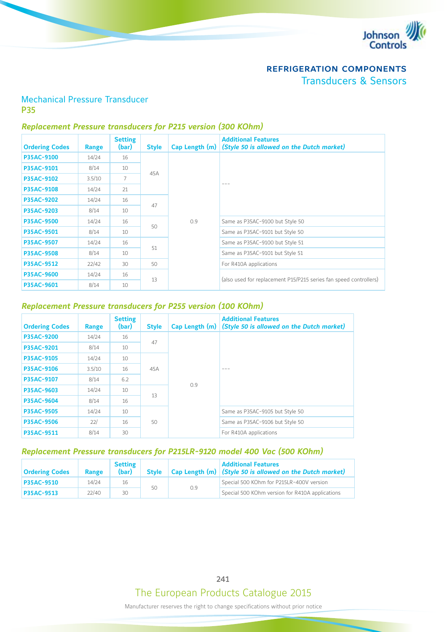

## Mechanical Pressure Transducer P35

#### *Replacement Pressure transducers for P215 version (300 KOhm)*

| <b>Ordering Codes</b> | Range  | <b>Setting</b><br>(bar) | <b>Style</b> | Cap Length $(m)$ | <b>Additional Features</b><br>(Style 50 is allowed on the Dutch market) |  |                                 |     |                                 |
|-----------------------|--------|-------------------------|--------------|------------------|-------------------------------------------------------------------------|--|---------------------------------|-----|---------------------------------|
| P35AC-9100            | 14/24  | 16                      |              |                  |                                                                         |  |                                 |     |                                 |
| P35AC-9101            | 8/14   | 10                      | 45A          |                  |                                                                         |  |                                 |     |                                 |
| P35AC-9102            | 3.5/10 | 7                       |              |                  | $- - -$                                                                 |  |                                 |     |                                 |
| <b>P35AC-9108</b>     | 14/24  | 21                      |              |                  |                                                                         |  |                                 |     |                                 |
| <b>P35AC-9202</b>     | 14/24  | 16                      | 47           |                  |                                                                         |  |                                 |     |                                 |
| <b>P35AC-9203</b>     | 8/14   | 10                      |              |                  |                                                                         |  |                                 |     |                                 |
| <b>P35AC-9500</b>     | 14/24  | 16                      | 50           |                  |                                                                         |  |                                 | 0.9 | Same as P35AC-9100 but Style 50 |
| <b>P35AC-9501</b>     | 8/14   | 10                      |              |                  |                                                                         |  | Same as P35AC-9101 but Style 50 |     |                                 |
| <b>P35AC-9507</b>     | 14/24  | 16                      | 51           |                  | Same as P35AC-9100 but Style 51                                         |  |                                 |     |                                 |
| <b>P35AC-9508</b>     | 8/14   | 10                      |              |                  | Same as P35AC-9101 but Style 51                                         |  |                                 |     |                                 |
| <b>P35AC-9512</b>     | 22/42  | 30                      | 50           |                  | For R410A applications                                                  |  |                                 |     |                                 |
| <b>P35AC-9600</b>     | 14/24  | 16                      |              |                  |                                                                         |  |                                 |     |                                 |
| P35AC-9601            | 8/14   | 10                      | 13           |                  | (also used for replacement P15/P215 series fan speed controllers)       |  |                                 |     |                                 |

#### *Replacement Pressure transducers for P255 version (100 KOhm)*

| <b>Ordering Codes</b> | Range  | <b>Setting</b><br>(bar) | <b>Style</b> | Cap Length (m) | <b>Additional Features</b><br>(Style 50 is allowed on the Dutch market) |  |     |  |  |  |  |  |  |
|-----------------------|--------|-------------------------|--------------|----------------|-------------------------------------------------------------------------|--|-----|--|--|--|--|--|--|
| <b>P35AC-9200</b>     | 14/24  | 16                      |              |                |                                                                         |  |     |  |  |  |  |  |  |
| P35AC-9201            | 8/14   | 10                      |              | 47             |                                                                         |  |     |  |  |  |  |  |  |
| P35AC-9105            | 14/24  | 10                      |              |                |                                                                         |  |     |  |  |  |  |  |  |
| P35AC-9106            | 3.5/10 | 16                      | 45A<br>13    |                |                                                                         |  |     |  |  |  |  |  |  |
| P35AC-9107            | 8/14   | 6.2                     |              |                |                                                                         |  | 0.9 |  |  |  |  |  |  |
| P35AC-9603            | 14/24  | 10                      |              |                |                                                                         |  |     |  |  |  |  |  |  |
| P35AC-9604            | 8/14   | 16                      |              |                |                                                                         |  |     |  |  |  |  |  |  |
| P35AC-9505            | 14/24  | 10                      |              |                | Same as P35AC-9105 but Style 50                                         |  |     |  |  |  |  |  |  |
| <b>P35AC-9506</b>     | 22/    | 16                      | 50           |                | Same as P35AC-9106 but Style 50                                         |  |     |  |  |  |  |  |  |
| P35AC-9511            | 8/14   | 30                      |              |                | For R410A applications                                                  |  |     |  |  |  |  |  |  |

## *Replacement Pressure transducers for P215LR-9120 model 400 Vac (500 KOhm)*

| <b>Ordering Codes</b> | <b>Range</b> | <b>Setting</b><br>(bar) | <b>Style</b> |     | <b>Additional Features</b><br>$\vert$ Cap Length (m) $\vert$ (Style 50 is allowed on the Dutch market) |
|-----------------------|--------------|-------------------------|--------------|-----|--------------------------------------------------------------------------------------------------------|
| <b>P35AC-9510</b>     | 14/24        | 16                      | 50           | 0.9 | Special 500 KOhm for P215LR-400V version                                                               |
| P35AC-9513            | 22/40        | 30                      |              |     | Special 500 KOhm version for R410A applications                                                        |

The European Products Catalogue 2015 241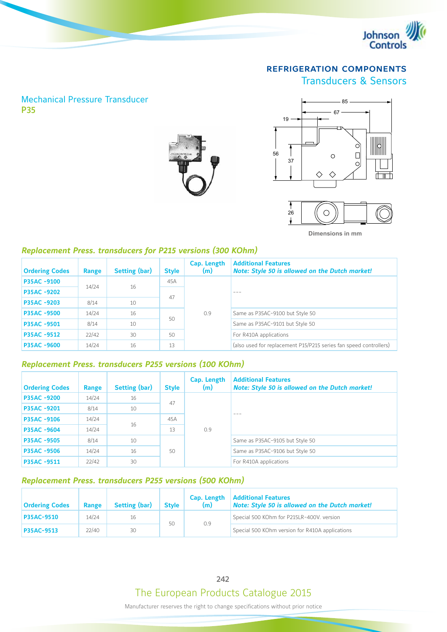

## Mechanical Pressure Transducer P35





**Dimensions in mm**

#### *Replacement Press. transducers for P215 versions (300 KOhm)*

| <b>Ordering Codes</b> | Range | Setting (bar) | <b>Style</b> | Cap. Length<br>(m) | <b>Additional Features</b><br>Note: Style 50 is allowed on the Dutch market! |
|-----------------------|-------|---------------|--------------|--------------------|------------------------------------------------------------------------------|
| P35AC -9100           | 14/24 | 16            | 45A          |                    |                                                                              |
| <b>P35AC-9202</b>     |       |               |              |                    | $- - -$                                                                      |
| <b>P35AC-9203</b>     | 8/14  | 10            | 47           |                    |                                                                              |
| <b>P35AC-9500</b>     | 14/24 | 16            |              | 0.9                | Same as P35AC-9100 but Style 50                                              |
| <b>P35AC-9501</b>     | 8/14  | 10            | 50           |                    | Same as P35AC-9101 but Style 50                                              |
| <b>P35AC-9512</b>     | 22/42 | 30            | 50           |                    | For R410A applications                                                       |
| <b>P35AC-9600</b>     | 14/24 | 16            | 13           |                    | (also used for replacement P15/P215 series fan speed controllers)            |

#### *Replacement Press. transducers P255 versions (100 KOhm)*

| <b>Ordering Codes</b> | Range | Setting (bar) | <b>Style</b> | Cap. Length<br>(m) | <b>Additional Features</b><br>Note: Style 50 is allowed on the Dutch market! |     |  |
|-----------------------|-------|---------------|--------------|--------------------|------------------------------------------------------------------------------|-----|--|
| <b>P35AC-9200</b>     | 14/24 | 16            | 47           |                    |                                                                              |     |  |
| <b>P35AC-9201</b>     | 8/14  | 10            |              |                    | $- - -$                                                                      |     |  |
| <b>P35AC-9106</b>     | 14/24 | 16            | 45A          |                    |                                                                              |     |  |
| <b>P35AC-9604</b>     | 14/24 |               | 13           |                    |                                                                              | 0.9 |  |
| <b>P35AC -9505</b>    | 8/14  | 10            |              |                    | Same as P35AC-9105 but Style 50                                              |     |  |
| <b>P35AC-9506</b>     | 14/24 | 16            | 50           |                    | Same as P35AC-9106 but Style 50                                              |     |  |
| P35AC-9511            | 22/42 | 30            |              |                    | For R410A applications                                                       |     |  |

#### *Replacement Press. transducers P255 versions (500 KOhm)*

| <b>Ordering Codes</b> | <b>Range</b> | <b>Setting (bar)</b> | <b>Style</b> | Cap. Length<br>(m) | <b>Additional Features</b><br>Note: Style 50 is allowed on the Dutch market! |
|-----------------------|--------------|----------------------|--------------|--------------------|------------------------------------------------------------------------------|
| P35AC-9510            | 14/24        | 16                   | 50           | 0.9                | Special 500 KOhm for P215LR-400V. version                                    |
| <b>P35AC-9513</b>     | 22/40        | 30                   |              |                    | Special 500 KOhm version for R410A applications                              |

242

# The European Products Catalogue 2015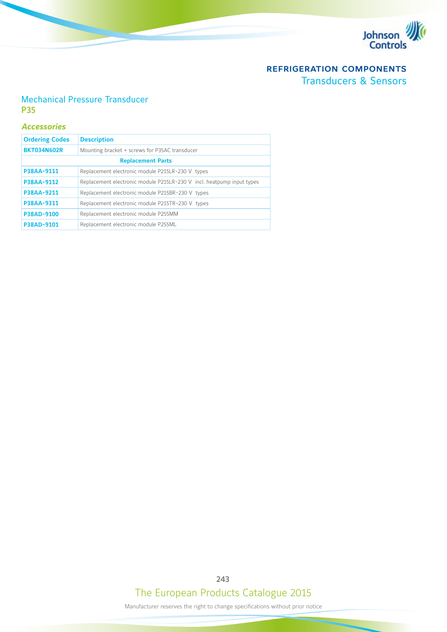

## Mechanical Pressure Transducer P35

#### *Accessories*

| <b>Ordering Codes</b>    | <b>Description</b>                                                    |  |  |  |  |
|--------------------------|-----------------------------------------------------------------------|--|--|--|--|
| <b>BKT034N602R</b>       | Mounting bracket + screws for P35AC transducer                        |  |  |  |  |
| <b>Replacement Parts</b> |                                                                       |  |  |  |  |
| P38AA-9111               | Replacement electronic module P215LR-230 V types                      |  |  |  |  |
| P38AA-9112               | Replacement electronic module P215LR-230 V incl. heatpump input types |  |  |  |  |
| P38AA-9211               | Replacement electronic module P215BR-230 V types                      |  |  |  |  |
| P38AA-9311               | Replacement electronic module P215TR-230 V types                      |  |  |  |  |
| P38AD-9100               | Replacement electronic module P255MM                                  |  |  |  |  |
| P38AD-9101               | Replacement electronic module P255ML                                  |  |  |  |  |

# The European Products Catalogue 2015 243